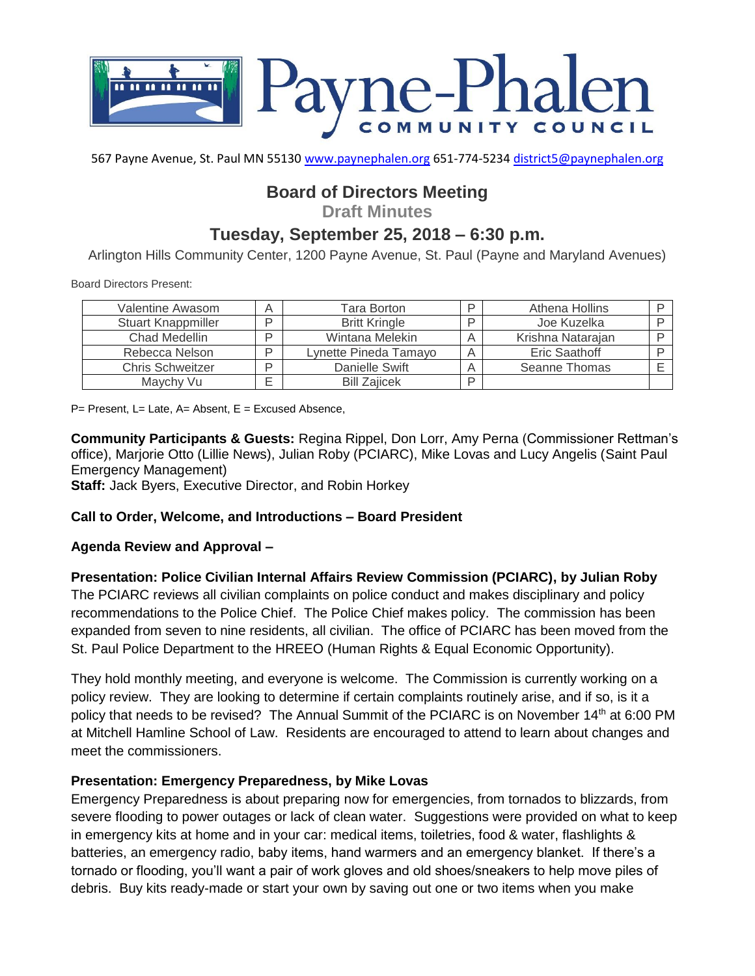

567 Payne Avenue, St. Paul MN 55130 [www.paynephalen.org](http://www.paynephalen.org/) 651-774-5234 [district5@paynephalen.org](mailto:district5@paynephalen.org)

# **Board of Directors Meeting**

**Draft Minutes**

# **Tuesday, September 25, 2018 – 6:30 p.m.**

Arlington Hills Community Center, 1200 Payne Avenue, St. Paul (Payne and Maryland Avenues)

Board Directors Present:

| Valentine Awasom        | A      | Tara Borton           | ם | Athena Hollins    |  |
|-------------------------|--------|-----------------------|---|-------------------|--|
| Stuart Knappmiller      | רו     | <b>Britt Kringle</b>  | ם | Joe Kuzelka       |  |
| Chad Medellin           | ח      | Wintana Melekin       |   | Krishna Natarajan |  |
| Rebecca Nelson          | D      | Lynette Pineda Tamayo |   | Eric Saathoff     |  |
| <b>Chris Schweitzer</b> | D      | Danielle Swift        |   | Seanne Thomas     |  |
| Maychy Vu               | –<br>⊢ | <b>Bill Zaiicek</b>   | D |                   |  |

 $P=$  Present, L= Late, A= Absent, E = Excused Absence,

**Community Participants & Guests:** Regina Rippel, Don Lorr, Amy Perna (Commissioner Rettman's office), Marjorie Otto (Lillie News), Julian Roby (PCIARC), Mike Lovas and Lucy Angelis (Saint Paul Emergency Management)

**Staff:** Jack Byers, Executive Director, and Robin Horkey

#### **Call to Order, Welcome, and Introductions – Board President**

#### **Agenda Review and Approval –**

**Presentation: Police Civilian Internal Affairs Review Commission (PCIARC), by Julian Roby** The PCIARC reviews all civilian complaints on police conduct and makes disciplinary and policy recommendations to the Police Chief. The Police Chief makes policy. The commission has been expanded from seven to nine residents, all civilian. The office of PCIARC has been moved from the St. Paul Police Department to the HREEO (Human Rights & Equal Economic Opportunity).

They hold monthly meeting, and everyone is welcome. The Commission is currently working on a policy review. They are looking to determine if certain complaints routinely arise, and if so, is it a policy that needs to be revised? The Annual Summit of the PCIARC is on November 14<sup>th</sup> at 6:00 PM at Mitchell Hamline School of Law. Residents are encouraged to attend to learn about changes and meet the commissioners.

### **Presentation: Emergency Preparedness, by Mike Lovas**

Emergency Preparedness is about preparing now for emergencies, from tornados to blizzards, from severe flooding to power outages or lack of clean water. Suggestions were provided on what to keep in emergency kits at home and in your car: medical items, toiletries, food & water, flashlights & batteries, an emergency radio, baby items, hand warmers and an emergency blanket. If there's a tornado or flooding, you'll want a pair of work gloves and old shoes/sneakers to help move piles of debris. Buy kits ready-made or start your own by saving out one or two items when you make